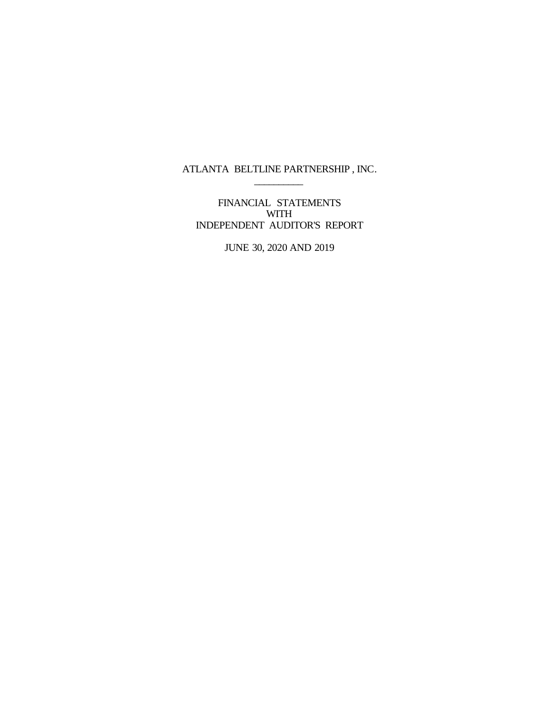ATLANTA BELTLINE PARTNERSHIP , INC.  $\overline{\phantom{a}}$  , where  $\overline{\phantom{a}}$ 

FINANCIAL STATEMENTS WITH<sub>1</sub> INDEPENDENT AUDITOR'S REPORT

JUNE 30, 2020 AND 2019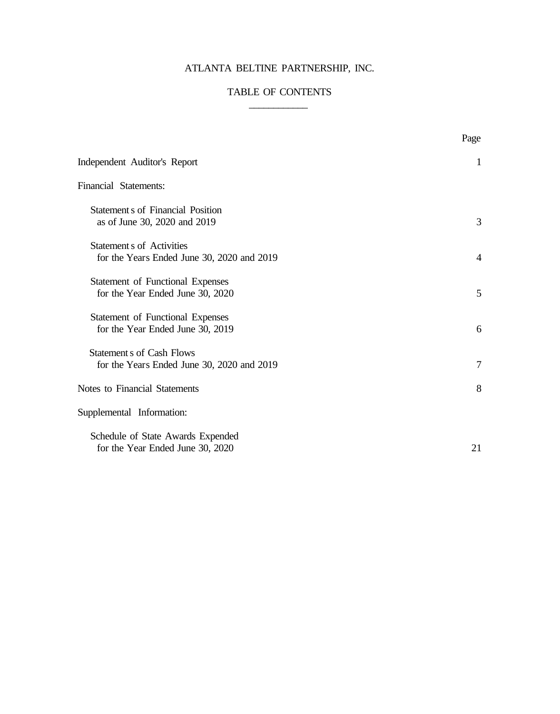# ATLANTA BELTINE PARTNERSHIP, INC.

## TABLE OF CONTENTS  $\overline{\phantom{a}}$   $\overline{\phantom{a}}$   $\overline{\phantom{a}}$   $\overline{\phantom{a}}$   $\overline{\phantom{a}}$   $\overline{\phantom{a}}$   $\overline{\phantom{a}}$   $\overline{\phantom{a}}$   $\overline{\phantom{a}}$   $\overline{\phantom{a}}$   $\overline{\phantom{a}}$   $\overline{\phantom{a}}$   $\overline{\phantom{a}}$   $\overline{\phantom{a}}$   $\overline{\phantom{a}}$   $\overline{\phantom{a}}$   $\overline{\phantom{a}}$   $\overline{\phantom{a}}$   $\overline{\$

|                                                                                | Page           |
|--------------------------------------------------------------------------------|----------------|
| Independent Auditor's Report                                                   | $\mathbf{1}$   |
| <b>Financial Statements:</b>                                                   |                |
| <b>Statement s of Financial Position</b><br>as of June 30, 2020 and 2019       | 3              |
| <b>Statement s of Activities</b><br>for the Years Ended June 30, 2020 and 2019 | $\overline{4}$ |
| Statement of Functional Expenses<br>for the Year Ended June 30, 2020           | 5              |
| Statement of Functional Expenses<br>for the Year Ended June 30, 2019           | 6              |
| <b>Statement s of Cash Flows</b><br>for the Years Ended June 30, 2020 and 2019 | 7              |
| Notes to Financial Statements                                                  | 8              |
| Supplemental Information:                                                      |                |
| Schedule of State Awards Expended<br>for the Year Ended June 30, 2020          | 21             |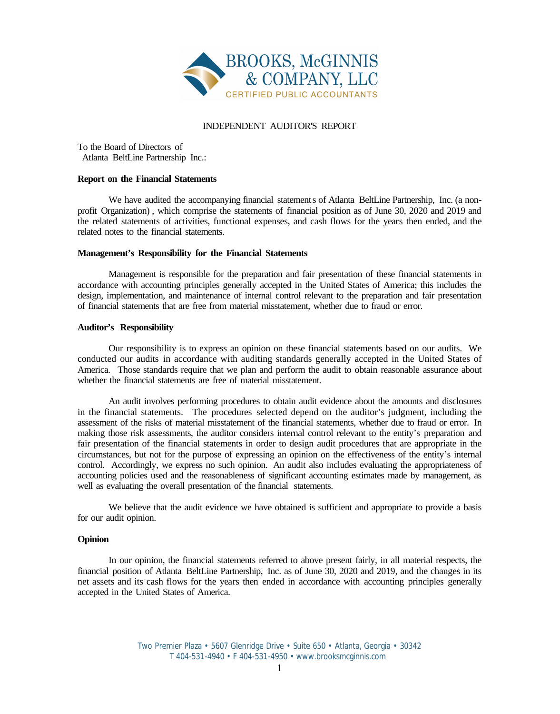

#### INDEPENDENT AUDITOR'S REPORT

To the Board of Directors of Atlanta BeltLine Partnership Inc.:

#### **Report on the Financial Statements**

We have audited the accompanying financial statements of Atlanta BeltLine Partnership, Inc. (a nonprofit Organization) , which comprise the statements of financial position as of June 30, 2020 and 2019 and the related statements of activities, functional expenses, and cash flows for the years then ended, and the related notes to the financial statements.

#### **Management's Responsibility for the Financial Statements**

Management is responsible for the preparation and fair presentation of these financial statements in accordance with accounting principles generally accepted in the United States of America; this includes the design, implementation, and maintenance of internal control relevant to the preparation and fair presentation of financial statements that are free from material misstatement, whether due to fraud or error.

#### **Auditor's Responsibility**

Our responsibility is to express an opinion on these financial statements based on our audits. We conducted our audits in accordance with auditing standards generally accepted in the United States of America. Those standards require that we plan and perform the audit to obtain reasonable assurance about whether the financial statements are free of material misstatement.

An audit involves performing procedures to obtain audit evidence about the amounts and disclosures in the financial statements. The procedures selected depend on the auditor's judgment, including the assessment of the risks of material misstatement of the financial statements, whether due to fraud or error. In making those risk assessments, the auditor considers internal control relevant to the entity's preparation and fair presentation of the financial statements in order to design audit procedures that are appropriate in the circumstances, but not for the purpose of expressing an opinion on the effectiveness of the entity's internal control. Accordingly, we express no such opinion. An audit also includes evaluating the appropriateness of accounting policies used and the reasonableness of significant accounting estimates made by management, as well as evaluating the overall presentation of the financial statements.

We believe that the audit evidence we have obtained is sufficient and appropriate to provide a basis for our audit opinion.

#### **Opinion**

In our opinion, the financial statements referred to above present fairly, in all material respects, the financial position of Atlanta BeltLine Partnership, Inc. as of June 30, 2020 and 2019, and the changes in its net assets and its cash flows for the years then ended in accordance with accounting principles generally accepted in the United States of America.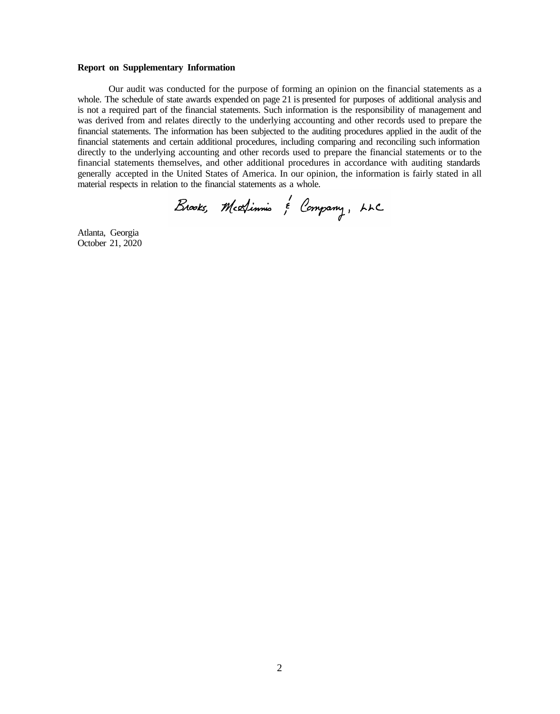#### **Report on Supplementary Information**

Our audit was conducted for the purpose of forming an opinion on the financial statements as a whole. The schedule of state awards expended on page 21 is presented for purposes of additional analysis and is not a required part of the financial statements. Such information is the responsibility of management and was derived from and relates directly to the underlying accounting and other records used to prepare the financial statements. The information has been subjected to the auditing procedures applied in the audit of the financial statements and certain additional procedures, including comparing and reconciling such information directly to the underlying accounting and other records used to prepare the financial statements or to the financial statements themselves, and other additional procedures in accordance with auditing standards generally accepted in the United States of America. In our opinion, the information is fairly stated in all material respects in relation to the financial statements as a whole.

Brooks, Mextinnis & Company, LLC

Atlanta, Georgia October 21, 2020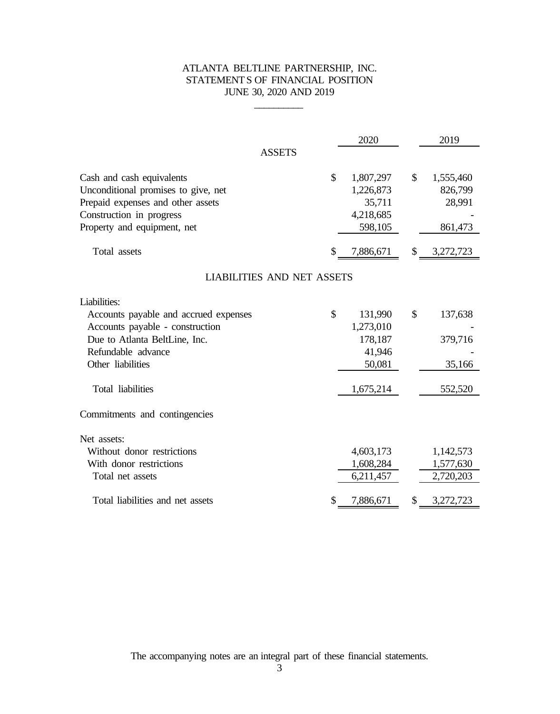## ATLANTA BELTLINE PARTNERSHIP, INC. STATEMENTS OF FINANCIAL POSITION JUNE 30, 2020 AND 2019

 $\mathcal{L}_\text{max}$ 

|                                                                                                                                                                  |    | 2020                                                     |    | 2019                                      |  |  |  |  |
|------------------------------------------------------------------------------------------------------------------------------------------------------------------|----|----------------------------------------------------------|----|-------------------------------------------|--|--|--|--|
| <b>ASSETS</b>                                                                                                                                                    |    |                                                          |    |                                           |  |  |  |  |
| Cash and cash equivalents<br>Unconditional promises to give, net<br>Prepaid expenses and other assets<br>Construction in progress<br>Property and equipment, net | \$ | 1,807,297<br>1,226,873<br>35,711<br>4,218,685<br>598,105 | \$ | 1,555,460<br>826,799<br>28,991<br>861,473 |  |  |  |  |
| Total assets                                                                                                                                                     | \$ | 7,886,671                                                | \$ | 3,272,723                                 |  |  |  |  |
| <b>LIABILITIES AND NET ASSETS</b>                                                                                                                                |    |                                                          |    |                                           |  |  |  |  |
| Liabilities:                                                                                                                                                     |    |                                                          |    |                                           |  |  |  |  |
| Accounts payable and accrued expenses<br>Accounts payable - construction                                                                                         | \$ | 131,990<br>1,273,010                                     | \$ | 137,638                                   |  |  |  |  |
| Due to Atlanta BeltLine, Inc.                                                                                                                                    |    | 178,187                                                  |    | 379,716                                   |  |  |  |  |
| Refundable advance<br>Other liabilities                                                                                                                          |    | 41,946<br>50,081                                         |    | 35,166                                    |  |  |  |  |
| Total liabilities                                                                                                                                                |    | 1,675,214                                                |    | 552,520                                   |  |  |  |  |
| Commitments and contingencies                                                                                                                                    |    |                                                          |    |                                           |  |  |  |  |
| Net assets:                                                                                                                                                      |    |                                                          |    |                                           |  |  |  |  |
| Without donor restrictions                                                                                                                                       |    | 4,603,173                                                |    | 1,142,573                                 |  |  |  |  |
| With donor restrictions                                                                                                                                          |    | 1,608,284                                                |    | 1,577,630                                 |  |  |  |  |
| Total net assets                                                                                                                                                 |    | 6,211,457                                                |    | 2,720,203                                 |  |  |  |  |
| Total liabilities and net assets                                                                                                                                 | \$ | 7,886,671                                                | \$ | 3,272,723                                 |  |  |  |  |

The accompanying notes are an integral part of these financial statements.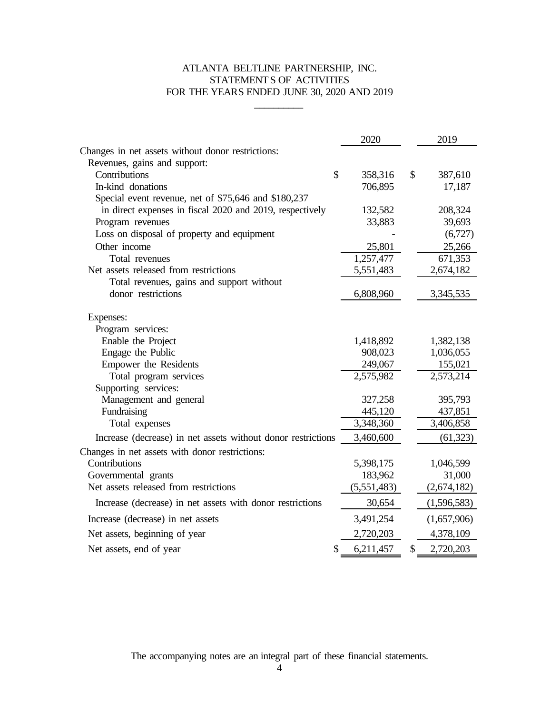## ATLANTA BELTLINE PARTNERSHIP, INC. STATEMENTS OF ACTIVITIES FOR THE YEARS ENDED JUNE 30, 2020 AND 2019

 $\overline{\phantom{a}}$ 

|                                                              | 2020            | 2019            |
|--------------------------------------------------------------|-----------------|-----------------|
| Changes in net assets without donor restrictions:            |                 |                 |
| Revenues, gains and support:                                 |                 |                 |
| Contributions                                                | \$<br>358,316   | \$<br>387,610   |
| In-kind donations                                            | 706,895         | 17,187          |
| Special event revenue, net of \$75,646 and \$180,237         |                 |                 |
| in direct expenses in fiscal 2020 and 2019, respectively     | 132,582         | 208,324         |
| Program revenues                                             | 33,883          | 39,693          |
| Loss on disposal of property and equipment                   |                 | (6,727)         |
| Other income                                                 | 25,801          | 25,266          |
| Total revenues                                               | 1,257,477       | 671,353         |
| Net assets released from restrictions                        | 5,551,483       | 2,674,182       |
| Total revenues, gains and support without                    |                 |                 |
| donor restrictions                                           | 6,808,960       | 3,345,535       |
| Expenses:                                                    |                 |                 |
| Program services:                                            |                 |                 |
| Enable the Project                                           | 1,418,892       | 1,382,138       |
| Engage the Public                                            | 908,023         | 1,036,055       |
| Empower the Residents                                        | 249,067         | 155,021         |
| Total program services                                       | 2,575,982       | 2,573,214       |
| Supporting services:                                         |                 |                 |
| Management and general                                       | 327,258         | 395,793         |
| Fundraising                                                  | 445,120         | 437,851         |
| Total expenses                                               | 3,348,360       | 3,406,858       |
| Increase (decrease) in net assets without donor restrictions | 3,460,600       | (61, 323)       |
| Changes in net assets with donor restrictions:               |                 |                 |
| Contributions                                                | 5,398,175       | 1,046,599       |
| Governmental grants                                          | 183,962         | 31,000          |
| Net assets released from restrictions                        | (5,551,483)     | (2,674,182)     |
| Increase (decrease) in net assets with donor restrictions    | 30,654          | (1,596,583)     |
| Increase (decrease) in net assets                            | 3,491,254       | (1,657,906)     |
| Net assets, beginning of year                                | 2,720,203       | 4,378,109       |
| Net assets, end of year                                      | \$<br>6,211,457 | \$<br>2,720,203 |

The accompanying notes are an integral part of these financial statements.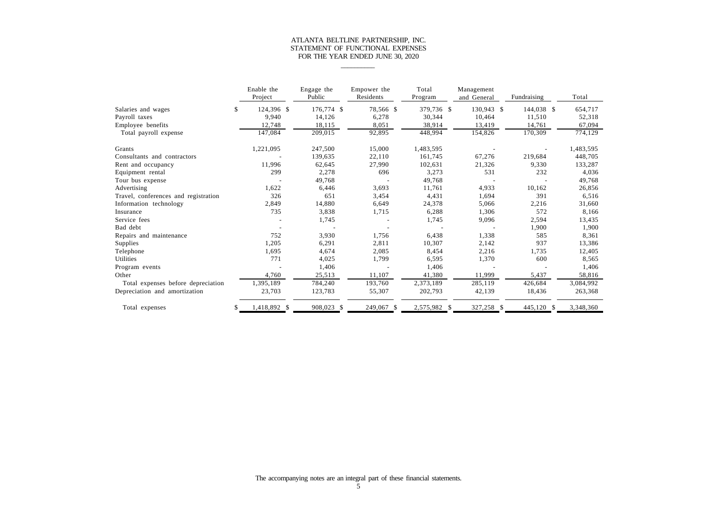## ATLANTA BELTLINE PARTNERSHIP, INC. STATEMENT OF FUNCTIONAL EXPENSES FOR THE YEAR ENDED JUNE 30, 2020

 $\overline{\phantom{a}}$ 

|                                      | Enable the<br>Project | Engage the<br>Public | Empower the<br>Residents | Total<br>Program | Management<br>and General | Fundraising | Total     |
|--------------------------------------|-----------------------|----------------------|--------------------------|------------------|---------------------------|-------------|-----------|
| Salaries and wages                   | \$<br>124,396 \$      | 176,774 \$           | 78,566 \$                | 379,736 \$       | 130,943 \$                | 144,038 \$  | 654,717   |
| Payroll taxes                        | 9,940                 | 14,126               | 6,278                    | 30,344           | 10,464                    | 11,510      | 52,318    |
| Employee benefits                    | 12,748                | 18,115               | 8,051                    | 38,914           | 13,419                    | 14,761      | 67,094    |
| Total payroll expense                | 147,084               | 209,015              | 92,895                   | 448,994          | 154,826                   | 170,309     | 774,129   |
| Grants                               | 1,221,095             | 247,500              | 15,000                   | 1,483,595        |                           |             | 1,483,595 |
| Consultants and contractors          |                       | 139,635              | 22,110                   | 161,745          | 67,276                    | 219,684     | 448,705   |
| Rent and occupancy                   | 11,996                | 62,645               | 27,990                   | 102,631          | 21,326                    | 9,330       | 133,287   |
| Equipment rental                     | 299                   | 2,278                | 696                      | 3,273            | 531                       | 232         | 4,036     |
| Tour bus expense                     |                       | 49,768               |                          | 49,768           |                           |             | 49,768    |
| Advertising                          | 1,622                 | 6,446                | 3,693                    | 11,761           | 4,933                     | 10,162      | 26,856    |
| Travel, conferences and registration | 326                   | 651                  | 3,454                    | 4,431            | 1,694                     | 391         | 6,516     |
| Information technology               | 2,849                 | 14,880               | 6,649                    | 24,378           | 5,066                     | 2,216       | 31,660    |
| Insurance                            | 735                   | 3,838                | 1,715                    | 6,288            | 1,306                     | 572         | 8,166     |
| Service fees                         |                       | 1,745                |                          | 1,745            | 9,096                     | 2,594       | 13,435    |
| Bad debt                             |                       |                      |                          |                  |                           | 1,900       | 1,900     |
| Repairs and maintenance              | 752                   | 3,930                | 1,756                    | 6,438            | 1,338                     | 585         | 8,361     |
| Supplies                             | 1,205                 | 6,291                | 2,811                    | 10,307           | 2,142                     | 937         | 13,386    |
| Telephone                            | 1,695                 | 4,674                | 2,085                    | 8,454            | 2,216                     | 1,735       | 12,405    |
| Utilities                            | 771                   | 4,025                | 1,799                    | 6,595            | 1,370                     | 600         | 8,565     |
| Program events                       |                       | 1,406                |                          | 1,406            |                           |             | 1,406     |
| Other                                | 4,760                 | 25,513               | 11,107                   | 41,380           | 11,999                    | 5,437       | 58,816    |
| Total expenses before depreciation   | 1,395,189             | 784,240              | 193,760                  | 2,373,189        | 285,119                   | 426,684     | 3,084,992 |
| Depreciation and amortization        | 23,703                | 123,783              | 55,307                   | 202,793          | 42,139                    | 18,436      | 263,368   |
| Total expenses                       | \$<br>1,418,892 \$    | 908,023 \$           | 249,067 \$               | 2,575,982 \$     | 327,258 \$                | 445,120 \$  | 3,348,360 |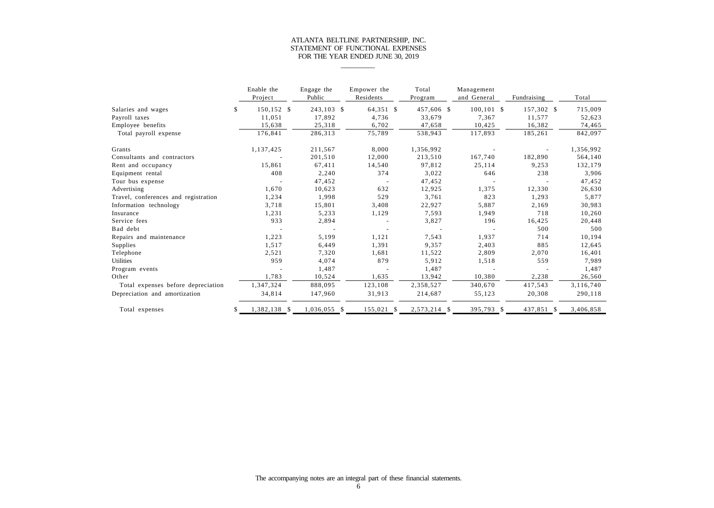## ATLANTA BELTLINE PARTNERSHIP, INC. STATEMENT OF FUNCTIONAL EXPENSES FOR THE YEAR ENDED JUNE 30, 2019

 $\overline{\phantom{a}}$ 

|                                      | Enable the<br>Project | Engage the<br>Public | Empower the<br>Residents | Total<br>Program | Management<br>and General | Fundraising | Total     |
|--------------------------------------|-----------------------|----------------------|--------------------------|------------------|---------------------------|-------------|-----------|
| Salaries and wages                   | \$<br>150,152 \$      | 243,103 \$           | 64,351 \$                | 457,606 \$       | $100, 101$ \$             | 157,302 \$  | 715,009   |
| Payroll taxes                        | 11,051                | 17,892               | 4,736                    | 33,679           | 7,367                     | 11,577      | 52,623    |
| Employee benefits                    | 15,638                | 25,318               | 6,702                    | 47,658           | 10,425                    | 16,382      | 74,465    |
| Total payroll expense                | 176,841               | 286,313              | 75,789                   | 538,943          | 117,893                   | 185,261     | 842,097   |
| Grants                               | 1,137,425             | 211,567              | 8,000                    | 1,356,992        |                           |             | 1,356,992 |
| Consultants and contractors          |                       | 201,510              | 12,000                   | 213,510          | 167,740                   | 182,890     | 564,140   |
| Rent and occupancy                   | 15,861                | 67,411               | 14,540                   | 97,812           | 25,114                    | 9,253       | 132,179   |
| Equipment rental                     | 408                   | 2,240                | 374                      | 3,022            | 646                       | 238         | 3,906     |
| Tour bus expense                     |                       | 47,452               |                          | 47,452           |                           |             | 47,452    |
| Advertising                          | 1,670                 | 10,623               | 632                      | 12,925           | 1,375                     | 12,330      | 26,630    |
| Travel, conferences and registration | 1,234                 | 1,998                | 529                      | 3,761            | 823                       | 1,293       | 5,877     |
| Information technology               | 3,718                 | 15,801               | 3,408                    | 22,927           | 5,887                     | 2,169       | 30,983    |
| Insurance                            | 1,231                 | 5,233                | 1,129                    | 7,593            | 1,949                     | 718         | 10,260    |
| Service fees                         | 933                   | 2,894                |                          | 3,827            | 196                       | 16,425      | 20,448    |
| Bad debt                             |                       |                      |                          |                  |                           | 500         | 500       |
| Repairs and maintenance              | 1,223                 | 5,199                | 1,121                    | 7,543            | 1,937                     | 714         | 10,194    |
| Supplies                             | 1,517                 | 6,449                | 1,391                    | 9,357            | 2,403                     | 885         | 12,645    |
| Telephone                            | 2,521                 | 7,320                | 1,681                    | 11,522           | 2,809                     | 2,070       | 16,401    |
| <b>Utilities</b>                     | 959                   | 4,074                | 879                      | 5,912            | 1,518                     | 559         | 7,989     |
| Program events                       |                       | 1,487                |                          | 1,487            |                           |             | 1,487     |
| Other                                | 1,783                 | 10,524               | 1,635                    | 13,942           | 10,380                    | 2,238       | 26,560    |
| Total expenses before depreciation   | 1,347,324             | 888,095              | 123,108                  | 2,358,527        | 340,670                   | 417,543     | 3,116,740 |
| Depreciation and amortization        | 34,814                | 147,960              | 31,913                   | 214,687          | 55,123                    | 20,308      | 290,118   |
| Total expenses                       | \$<br>1,382,138 \$    | 1,036,055 \$         | 155,021<br>- S           | 2,573,214 \$     | 395,793 \$                | 437,851 \$  | 3,406,858 |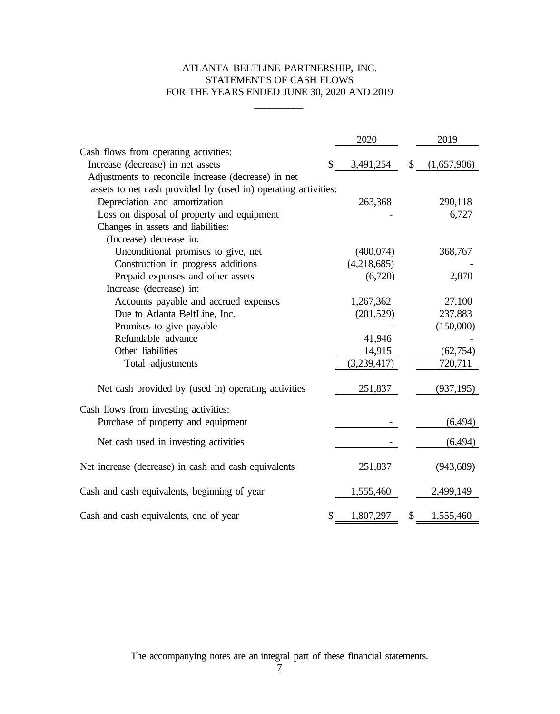## ATLANTA BELTLINE PARTNERSHIP, INC. STATEMENTS OF CASH FLOWS FOR THE YEARS ENDED JUNE 30, 2020 AND 2019

\_\_\_\_\_\_\_\_\_\_

|                                                                | 2020            | 2019              |
|----------------------------------------------------------------|-----------------|-------------------|
| Cash flows from operating activities:                          |                 |                   |
| Increase (decrease) in net assets                              | \$<br>3,491,254 | \$<br>(1,657,906) |
| Adjustments to reconcile increase (decrease) in net            |                 |                   |
| assets to net cash provided by (used in) operating activities: |                 |                   |
| Depreciation and amortization                                  | 263,368         | 290,118           |
| Loss on disposal of property and equipment                     |                 | 6,727             |
| Changes in assets and liabilities:                             |                 |                   |
| (Increase) decrease in:                                        |                 |                   |
| Unconditional promises to give, net                            | (400,074)       | 368,767           |
| Construction in progress additions                             | (4,218,685)     |                   |
| Prepaid expenses and other assets                              | (6,720)         | 2,870             |
| Increase (decrease) in:                                        |                 |                   |
| Accounts payable and accrued expenses                          | 1,267,362       | 27,100            |
| Due to Atlanta BeltLine, Inc.                                  | (201, 529)      | 237,883           |
| Promises to give payable                                       |                 | (150,000)         |
| Refundable advance                                             | 41,946          |                   |
| Other liabilities                                              | 14,915          | (62, 754)         |
| Total adjustments                                              | (3,239,417)     | 720,711           |
|                                                                |                 |                   |
| Net cash provided by (used in) operating activities            | 251,837         | (937, 195)        |
| Cash flows from investing activities:                          |                 |                   |
| Purchase of property and equipment                             |                 | (6, 494)          |
| Net cash used in investing activities                          |                 | (6, 494)          |
| Net increase (decrease) in cash and cash equivalents           | 251,837         | (943, 689)        |
| Cash and cash equivalents, beginning of year                   | 1,555,460       | 2,499,149         |
| Cash and cash equivalents, end of year                         | \$<br>1,807,297 | \$<br>1,555,460   |

The accompanying notes are an integral part of these financial statements.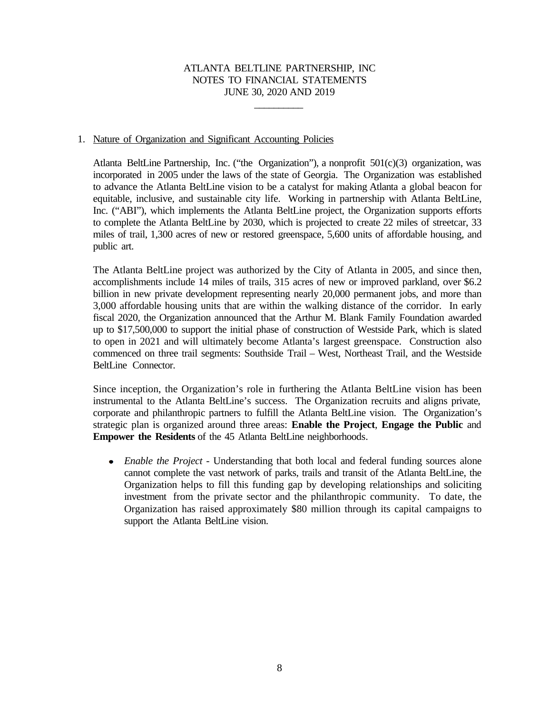\_\_\_\_\_\_\_\_\_\_

#### 1. Nature of Organization and Significant Accounting Policies

Atlanta BeltLine Partnership, Inc. ("the Organization"), a nonprofit  $501(c)(3)$  organization, was incorporated in 2005 under the laws of the state of Georgia. The Organization was established to advance the Atlanta BeltLine vision to be a catalyst for making Atlanta a global beacon for equitable, inclusive, and sustainable city life. Working in partnership with Atlanta BeltLine, Inc. ("ABI"), which implements the Atlanta BeltLine project, the Organization supports efforts to complete the Atlanta BeltLine by 2030, which is projected to create 22 miles of streetcar, 33 miles of trail, 1,300 acres of new or restored greenspace, 5,600 units of affordable housing, and public art.

The Atlanta BeltLine project was authorized by the City of Atlanta in 2005, and since then, accomplishments include 14 miles of trails, 315 acres of new or improved parkland, over \$6.2 billion in new private development representing nearly 20,000 permanent jobs, and more than 3,000 affordable housing units that are within the walking distance of the corridor. In early fiscal 2020, the Organization announced that the Arthur M. Blank Family Foundation awarded up to \$17,500,000 to support the initial phase of construction of Westside Park, which is slated to open in 2021 and will ultimately become Atlanta's largest greenspace. Construction also commenced on three trail segments: Southside Trail – West, Northeast Trail, and the Westside BeltLine Connector.

Since inception, the Organization's role in furthering the Atlanta BeltLine vision has been instrumental to the Atlanta BeltLine's success. The Organization recruits and aligns private, corporate and philanthropic partners to fulfill the Atlanta BeltLine vision. The Organization's strategic plan is organized around three areas: **Enable the Project**, **Engage the Public** and **Empower the Residents** of the 45 Atlanta BeltLine neighborhoods.

*Enable the Project* - Understanding that both local and federal funding sources alone cannot complete the vast network of parks, trails and transit of the Atlanta BeltLine, the Organization helps to fill this funding gap by developing relationships and soliciting investment from the private sector and the philanthropic community. To date, the Organization has raised approximately \$80 million through its capital campaigns to support the Atlanta BeltLine vision.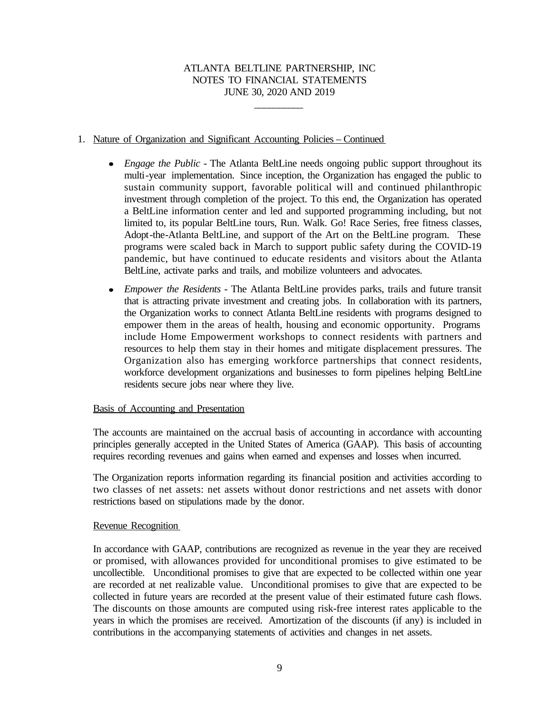\_\_\_\_\_\_\_\_\_\_

### 1. Nature of Organization and Significant Accounting Policies – Continued

- *Engage the Public -* The Atlanta BeltLine needs ongoing public support throughout its  $\bullet$ multi-year implementation. Since inception, the Organization has engaged the public to sustain community support, favorable political will and continued philanthropic investment through completion of the project. To this end, the Organization has operated a BeltLine information center and led and supported programming including, but not limited to, its popular BeltLine tours, Run. Walk. Go! Race Series, free fitness classes, Adopt-the-Atlanta BeltLine, and support of the Art on the BeltLine program. These programs were scaled back in March to support public safety during the COVID-19 pandemic, but have continued to educate residents and visitors about the Atlanta BeltLine, activate parks and trails, and mobilize volunteers and advocates.
- *Empower the Residents* The Atlanta BeltLine provides parks, trails and future transit  $\bullet$ that is attracting private investment and creating jobs. In collaboration with its partners, the Organization works to connect Atlanta BeltLine residents with programs designed to empower them in the areas of health, housing and economic opportunity. Programs include Home Empowerment workshops to connect residents with partners and resources to help them stay in their homes and mitigate displacement pressures. The Organization also has emerging workforce partnerships that connect residents, workforce development organizations and businesses to form pipelines helping BeltLine residents secure jobs near where they live.

#### Basis of Accounting and Presentation

The accounts are maintained on the accrual basis of accounting in accordance with accounting principles generally accepted in the United States of America (GAAP). This basis of accounting requires recording revenues and gains when earned and expenses and losses when incurred.

The Organization reports information regarding its financial position and activities according to two classes of net assets: net assets without donor restrictions and net assets with donor restrictions based on stipulations made by the donor.

#### Revenue Recognition

In accordance with GAAP, contributions are recognized as revenue in the year they are received or promised, with allowances provided for unconditional promises to give estimated to be uncollectible. Unconditional promises to give that are expected to be collected within one year are recorded at net realizable value. Unconditional promises to give that are expected to be collected in future years are recorded at the present value of their estimated future cash flows. The discounts on those amounts are computed using risk-free interest rates applicable to the years in which the promises are received. Amortization of the discounts (if any) is included in contributions in the accompanying statements of activities and changes in net assets.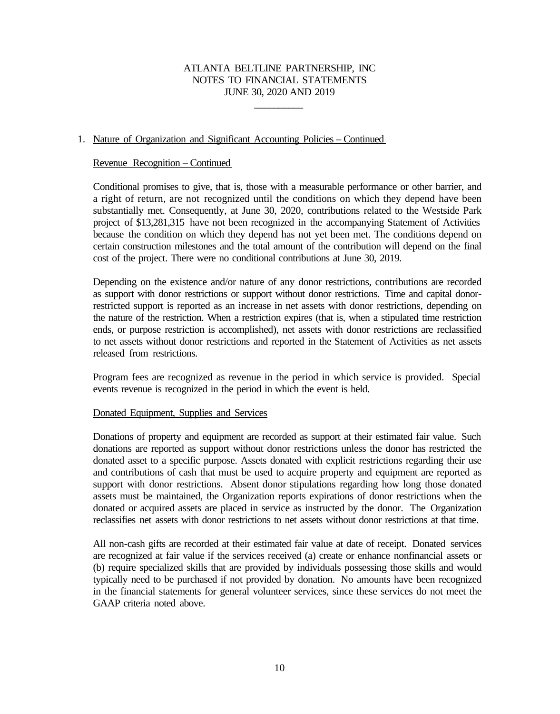\_\_\_\_\_\_\_\_\_\_

### 1. Nature of Organization and Significant Accounting Policies – Continued

#### Revenue Recognition – Continued

Conditional promises to give, that is, those with a measurable performance or other barrier, and a right of return, are not recognized until the conditions on which they depend have been substantially met. Consequently, at June 30, 2020, contributions related to the Westside Park project of \$13,281,315 have not been recognized in the accompanying Statement of Activities because the condition on which they depend has not yet been met. The conditions depend on certain construction milestones and the total amount of the contribution will depend on the final cost of the project. There were no conditional contributions at June 30, 2019.

Depending on the existence and/or nature of any donor restrictions, contributions are recorded as support with donor restrictions or support without donor restrictions. Time and capital donorrestricted support is reported as an increase in net assets with donor restrictions, depending on the nature of the restriction. When a restriction expires (that is, when a stipulated time restriction ends, or purpose restriction is accomplished), net assets with donor restrictions are reclassified to net assets without donor restrictions and reported in the Statement of Activities as net assets released from restrictions.

Program fees are recognized as revenue in the period in which service is provided. Special events revenue is recognized in the period in which the event is held.

#### Donated Equipment, Supplies and Services

Donations of property and equipment are recorded as support at their estimated fair value. Such donations are reported as support without donor restrictions unless the donor has restricted the donated asset to a specific purpose. Assets donated with explicit restrictions regarding their use and contributions of cash that must be used to acquire property and equipment are reported as support with donor restrictions. Absent donor stipulations regarding how long those donated assets must be maintained, the Organization reports expirations of donor restrictions when the donated or acquired assets are placed in service as instructed by the donor. The Organization reclassifies net assets with donor restrictions to net assets without donor restrictions at that time.

All non-cash gifts are recorded at their estimated fair value at date of receipt. Donated services are recognized at fair value if the services received (a) create or enhance nonfinancial assets or (b) require specialized skills that are provided by individuals possessing those skills and would typically need to be purchased if not provided by donation. No amounts have been recognized in the financial statements for general volunteer services, since these services do not meet the GAAP criteria noted above.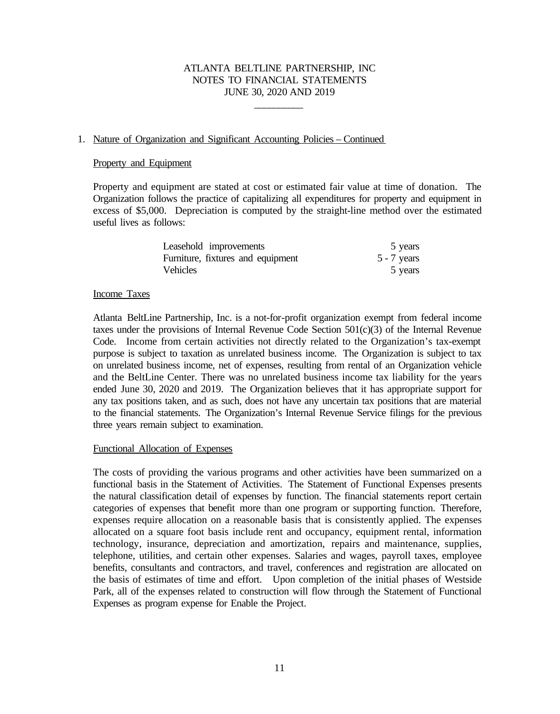\_\_\_\_\_\_\_\_\_\_

### 1. Nature of Organization and Significant Accounting Policies – Continued

#### Property and Equipment

Property and equipment are stated at cost or estimated fair value at time of donation. The Organization follows the practice of capitalizing all expenditures for property and equipment in excess of \$5,000. Depreciation is computed by the straight-line method over the estimated useful lives as follows:

| Leasehold improvements            | 5 years       |
|-----------------------------------|---------------|
| Furniture, fixtures and equipment | $5 - 7$ years |
| Vehicles                          | 5 years       |

#### Income Taxes

Atlanta BeltLine Partnership, Inc. is a not-for-profit organization exempt from federal income taxes under the provisions of Internal Revenue Code Section 501(c)(3) of the Internal Revenue Code. Income from certain activities not directly related to the Organization's tax-exempt purpose is subject to taxation as unrelated business income. The Organization is subject to tax on unrelated business income, net of expenses, resulting from rental of an Organization vehicle and the BeltLine Center. There was no unrelated business income tax liability for the years ended June 30, 2020 and 2019. The Organization believes that it has appropriate support for any tax positions taken, and as such, does not have any uncertain tax positions that are material to the financial statements. The Organization's Internal Revenue Service filings for the previous three years remain subject to examination.

#### Functional Allocation of Expenses

The costs of providing the various programs and other activities have been summarized on a functional basis in the Statement of Activities. The Statement of Functional Expenses presents the natural classification detail of expenses by function. The financial statements report certain categories of expenses that benefit more than one program or supporting function. Therefore, expenses require allocation on a reasonable basis that is consistently applied. The expenses allocated on a square foot basis include rent and occupancy, equipment rental, information technology, insurance, depreciation and amortization, repairs and maintenance, supplies, telephone, utilities, and certain other expenses. Salaries and wages, payroll taxes, employee benefits, consultants and contractors, and travel, conferences and registration are allocated on the basis of estimates of time and effort. Upon completion of the initial phases of Westside Park, all of the expenses related to construction will flow through the Statement of Functional Expenses as program expense for Enable the Project.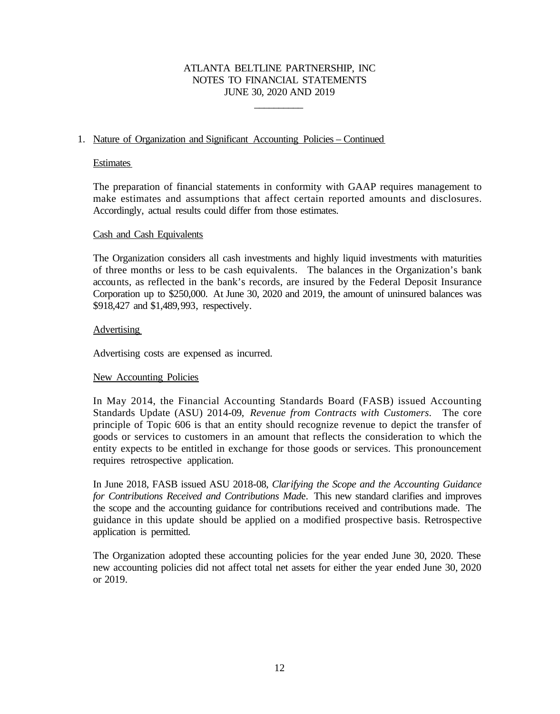\_\_\_\_\_\_\_\_\_\_

### 1. Nature of Organization and Significant Accounting Policies – Continued

#### **Estimates**

The preparation of financial statements in conformity with GAAP requires management to make estimates and assumptions that affect certain reported amounts and disclosures. Accordingly, actual results could differ from those estimates.

#### Cash and Cash Equivalents

The Organization considers all cash investments and highly liquid investments with maturities of three months or less to be cash equivalents. The balances in the Organization's bank accounts, as reflected in the bank's records, are insured by the Federal Deposit Insurance Corporation up to \$250,000. At June 30, 2020 and 2019, the amount of uninsured balances was \$918,427 and \$1,489,993, respectively.

#### **Advertising**

Advertising costs are expensed as incurred.

#### New Accounting Policies

In May 2014, the Financial Accounting Standards Board (FASB) issued Accounting Standards Update (ASU) 2014-09, *Revenue from Contracts with Customers*. The core principle of Topic 606 is that an entity should recognize revenue to depict the transfer of goods or services to customers in an amount that reflects the consideration to which the entity expects to be entitled in exchange for those goods or services. This pronouncement requires retrospective application.

In June 2018, FASB issued ASU 2018-08, *Clarifying the Scope and the Accounting Guidance for Contributions Received and Contributions Mad*e. This new standard clarifies and improves the scope and the accounting guidance for contributions received and contributions made. The guidance in this update should be applied on a modified prospective basis. Retrospective application is permitted.

The Organization adopted these accounting policies for the year ended June 30, 2020. These new accounting policies did not affect total net assets for either the year ended June 30, 2020 or 2019.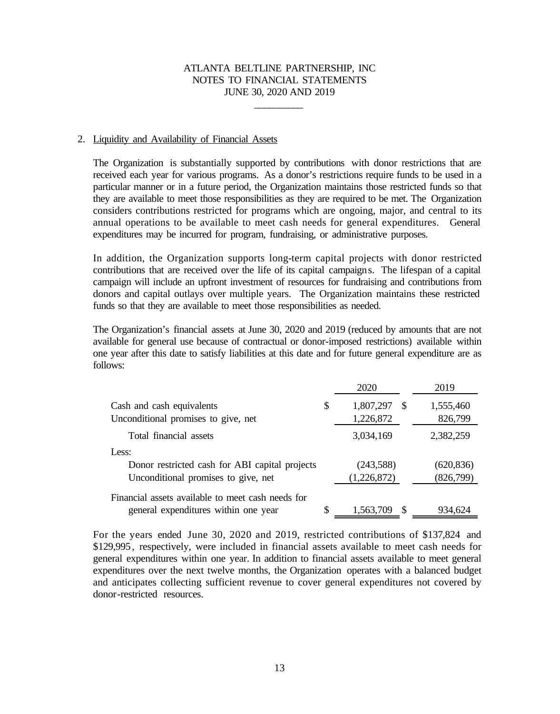\_\_\_\_\_\_\_\_\_\_

#### 2. Liquidity and Availability of Financial Assets

The Organization is substantially supported by contributions with donor restrictions that are received each year for various programs. As a donor's restrictions require funds to be used in a particular manner or in a future period, the Organization maintains those restricted funds so that they are available to meet those responsibilities as they are required to be met. The Organization considers contributions restricted for programs which are ongoing, major, and central to its annual operations to be available to meet cash needs for general expenditures. General expenditures may be incurred for program, fundraising, or administrative purposes.

In addition, the Organization supports long-term capital projects with donor restricted contributions that are received over the life of its capital campaigns. The lifespan of a capital campaign will include an upfront investment of resources for fundraising and contributions from donors and capital outlays over multiple years. The Organization maintains these restricted funds so that they are available to meet those responsibilities as needed.

The Organization's financial assets at June 30, 2020 and 2019 (reduced by amounts that are not available for general use because of contractual or donor-imposed restrictions) available within one year after this date to satisfy liabilities at this date and for future general expenditure are as follows:

|                                                                  | 2020                         |               | 2019                 |
|------------------------------------------------------------------|------------------------------|---------------|----------------------|
| Cash and cash equivalents<br>Unconditional promises to give, net | \$<br>1,807,297<br>1,226,872 | -S            | 1,555,460<br>826,799 |
| Total financial assets                                           | 3,034,169                    |               | 2,382,259            |
| Less:                                                            |                              |               |                      |
| Donor restricted cash for ABI capital projects                   | (243, 588)                   |               | (620, 836)           |
| Unconditional promises to give, net                              | (1,226,872)                  |               | (826,799)            |
| Financial assets available to meet cash needs for                |                              |               |                      |
| general expenditures within one year                             | \$<br>1,563,709              | <sup>\$</sup> | 934,624              |

For the years ended June 30, 2020 and 2019, restricted contributions of \$137,824 and \$129,995, respectively, were included in financial assets available to meet cash needs for general expenditures within one year. In addition to financial assets available to meet general expenditures over the next twelve months, the Organization operates with a balanced budget and anticipates collecting sufficient revenue to cover general expenditures not covered by donor-restricted resources.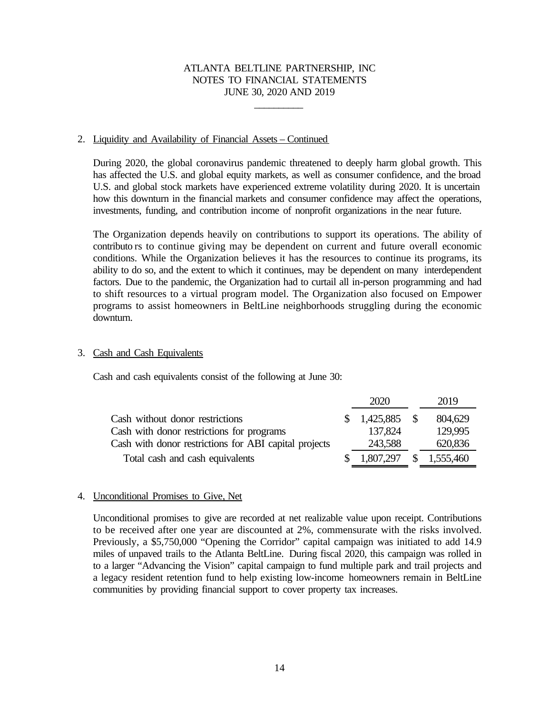\_\_\_\_\_\_\_\_\_\_

#### 2. Liquidity and Availability of Financial Assets – Continued

During 2020, the global coronavirus pandemic threatened to deeply harm global growth. This has affected the U.S. and global equity markets, as well as consumer confidence, and the broad U.S. and global stock markets have experienced extreme volatility during 2020. It is uncertain how this downturn in the financial markets and consumer confidence may affect the operations, investments, funding, and contribution income of nonprofit organizations in the near future.

The Organization depends heavily on contributions to support its operations. The ability of contributo rs to continue giving may be dependent on current and future overall economic conditions. While the Organization believes it has the resources to continue its programs, its ability to do so, and the extent to which it continues, may be dependent on many interdependent factors. Due to the pandemic, the Organization had to curtail all in-person programming and had to shift resources to a virtual program model. The Organization also focused on Empower programs to assist homeowners in BeltLine neighborhoods struggling during the economic downturn.

#### 3. Cash and Cash Equivalents

Cash and cash equivalents consist of the following at June 30:

|                                                       |              | 2020      |              | 2019      |
|-------------------------------------------------------|--------------|-----------|--------------|-----------|
| Cash without donor restrictions                       | <sup>S</sup> | 1,425,885 | - \$         | 804,629   |
| Cash with donor restrictions for programs             |              | 137,824   |              | 129,995   |
| Cash with donor restrictions for ABI capital projects |              | 243,588   |              | 620,836   |
| Total cash and cash equivalents                       |              | 1,807,297 | <sup>S</sup> | 1,555,460 |

#### 4. Unconditional Promises to Give, Net

Unconditional promises to give are recorded at net realizable value upon receipt. Contributions to be received after one year are discounted at 2%, commensurate with the risks involved. Previously, a \$5,750,000 "Opening the Corridor" capital campaign was initiated to add 14.9 miles of unpaved trails to the Atlanta BeltLine. During fiscal 2020, this campaign was rolled in to a larger "Advancing the Vision" capital campaign to fund multiple park and trail projects and a legacy resident retention fund to help existing low-income homeowners remain in BeltLine communities by providing financial support to cover property tax increases.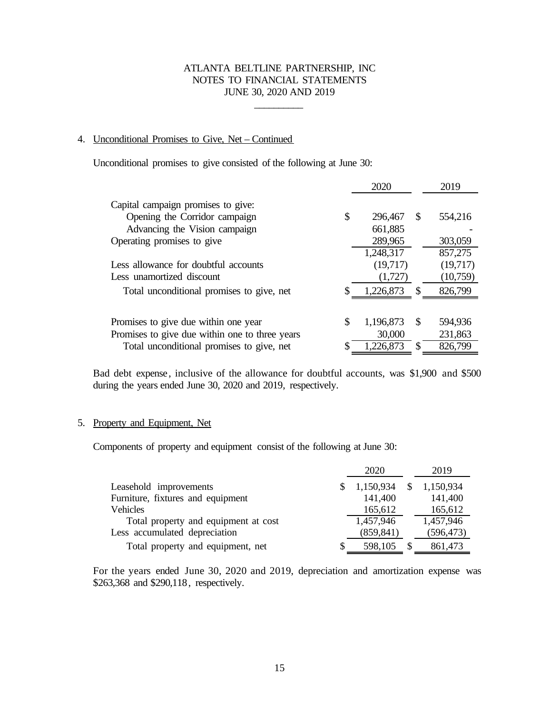\_\_\_\_\_\_\_\_\_\_

### 4. Unconditional Promises to Give, Net – Continued

Unconditional promises to give consisted of the following at June 30:

| Capital campaign promises to give:<br>\$<br>Opening the Corridor campaign<br>296,467<br><b>S</b><br>554,216<br>Advancing the Vision campaign<br>661,885<br>Operating promises to give<br>289,965<br>303,059<br>1,248,317<br>857,275<br>(19,717)<br>Less allowance for doubtful accounts |                           | 2020    | 2019     |
|-----------------------------------------------------------------------------------------------------------------------------------------------------------------------------------------------------------------------------------------------------------------------------------------|---------------------------|---------|----------|
|                                                                                                                                                                                                                                                                                         |                           |         |          |
|                                                                                                                                                                                                                                                                                         |                           |         |          |
|                                                                                                                                                                                                                                                                                         |                           |         |          |
|                                                                                                                                                                                                                                                                                         |                           |         |          |
|                                                                                                                                                                                                                                                                                         |                           |         |          |
|                                                                                                                                                                                                                                                                                         |                           |         | (19,717) |
|                                                                                                                                                                                                                                                                                         | Less unamortized discount | (1,727) | (10,759) |
| 826,799<br>1,226,873<br>-S<br>Total unconditional promises to give, net                                                                                                                                                                                                                 |                           |         |          |
|                                                                                                                                                                                                                                                                                         |                           |         |          |
| \$<br>1,196,873<br>594,936<br>Promises to give due within one year<br>S                                                                                                                                                                                                                 |                           |         |          |
| Promises to give due within one to three years<br>30,000<br>231,863                                                                                                                                                                                                                     |                           |         |          |
| \$<br>1,226,873<br>826,799<br>Total unconditional promises to give, net<br>S                                                                                                                                                                                                            |                           |         |          |

Bad debt expense, inclusive of the allowance for doubtful accounts, was \$1,900 and \$500 during the years ended June 30, 2020 and 2019, respectively.

#### 5. Property and Equipment, Net

Components of property and equipment consist of the following at June 30:

|                                      |              | 2020       | 2019       |
|--------------------------------------|--------------|------------|------------|
| Leasehold improvements               |              | 1,150,934  | 1,150,934  |
| Furniture, fixtures and equipment    |              | 141,400    | 141,400    |
| <b>Vehicles</b>                      |              | 165,612    | 165,612    |
| Total property and equipment at cost |              | 1,457,946  | 1,457,946  |
| Less accumulated depreciation        |              | (859, 841) | (596, 473) |
| Total property and equipment, net    | <sup>8</sup> | 598,105    | 861,473    |

For the years ended June 30, 2020 and 2019, depreciation and amortization expense was \$263,368 and \$290,118, respectively.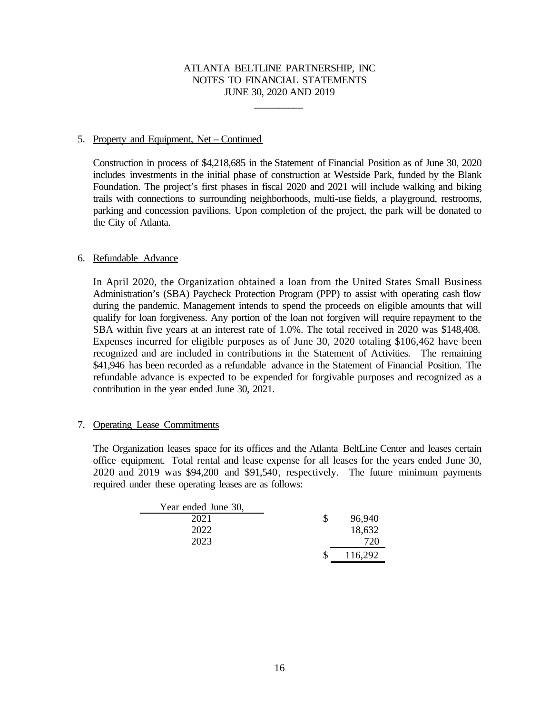\_\_\_\_\_\_\_\_\_\_

### 5. Property and Equipment, Net – Continued

Construction in process of \$4,218,685 in the Statement of Financial Position as of June 30, 2020 includes investments in the initial phase of construction at Westside Park, funded by the Blank Foundation. The project's first phases in fiscal 2020 and 2021 will include walking and biking trails with connections to surrounding neighborhoods, multi-use fields, a playground, restrooms, parking and concession pavilions. Upon completion of the project, the park will be donated to the City of Atlanta.

### 6. Refundable Advance

In April 2020, the Organization obtained a loan from the United States Small Business Administration's (SBA) Paycheck Protection Program (PPP) to assist with operating cash flow during the pandemic. Management intends to spend the proceeds on eligible amounts that will qualify for loan forgiveness. Any portion of the loan not forgiven will require repayment to the SBA within five years at an interest rate of 1.0%. The total received in 2020 was \$148,408. Expenses incurred for eligible purposes as of June 30, 2020 totaling \$106,462 have been recognized and are included in contributions in the Statement of Activities. The remaining \$41,946 has been recorded as a refundable advance in the Statement of Financial Position. The refundable advance is expected to be expended for forgivable purposes and recognized as a contribution in the year ended June 30, 2021.

### 7. Operating Lease Commitments

The Organization leases space for its offices and the Atlanta BeltLine Center and leases certain office equipment. Total rental and lease expense for all leases for the years ended June 30, 2020 and 2019 was \$94,200 and \$91,540, respectively. The future minimum payments required under these operating leases are as follows:

| Year ended June 30, |         |
|---------------------|---------|
| 2021                | 96,940  |
| 2022                | 18,632  |
| 2023                |         |
|                     | 116,292 |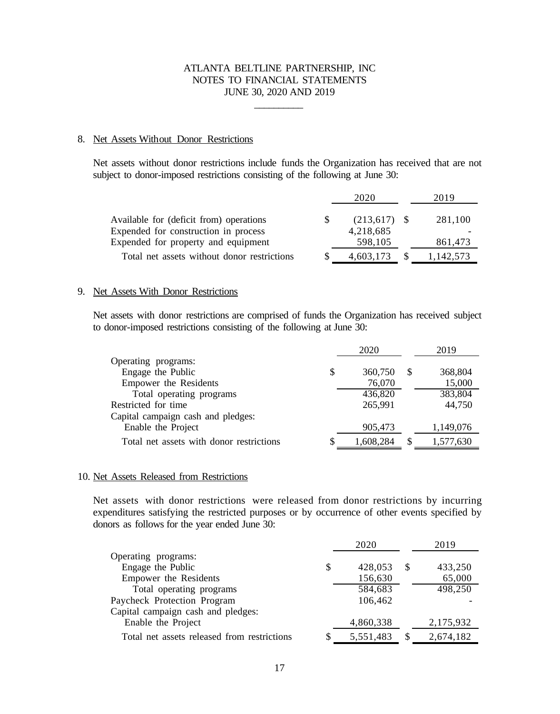\_\_\_\_\_\_\_\_\_\_

#### 8. Net Assets Without Donor Restrictions

Net assets without donor restrictions include funds the Organization has received that are not subject to donor-imposed restrictions consisting of the following at June 30:

|                                                                                                                        | 2020                                   | 2019               |  |
|------------------------------------------------------------------------------------------------------------------------|----------------------------------------|--------------------|--|
| Available for (deficit from) operations<br>Expended for construction in process<br>Expended for property and equipment | $(213,617)$ \$<br>4,218,685<br>598,105 | 281,100<br>861,473 |  |
| Total net assets without donor restrictions                                                                            | 4,603,173                              | 1,142,573          |  |
|                                                                                                                        |                                        |                    |  |

#### 9. Net Assets With Donor Restrictions

Net assets with donor restrictions are comprised of funds the Organization has received subject to donor-imposed restrictions consisting of the following at June 30:

|                                          | 2020          |          | 2019      |  |
|------------------------------------------|---------------|----------|-----------|--|
| Operating programs:                      |               |          |           |  |
| Engage the Public                        | \$<br>360,750 | S        | 368,804   |  |
| Empower the Residents                    | 76,070        |          | 15,000    |  |
| Total operating programs                 | 436,820       |          | 383,804   |  |
| Restricted for time                      | 265,991       |          | 44,750    |  |
| Capital campaign cash and pledges:       |               |          |           |  |
| Enable the Project                       | 905,473       |          | 1,149,076 |  |
| Total net assets with donor restrictions | 1,608,284     | <b>S</b> | 1,577,630 |  |

#### 10. Net Assets Released from Restrictions

Net assets with donor restrictions were released from donor restrictions by incurring expenditures satisfying the restricted purposes or by occurrence of other events specified by donors as follows for the year ended June 30:

|                                             |    | 2020      |               | 2019      |  |
|---------------------------------------------|----|-----------|---------------|-----------|--|
| Operating programs:                         |    |           |               |           |  |
| Engage the Public                           | \$ | 428,053   | <sup>\$</sup> | 433,250   |  |
| Empower the Residents                       |    | 156,630   |               | 65,000    |  |
| Total operating programs                    |    | 584,683   |               | 498,250   |  |
| Paycheck Protection Program                 |    | 106,462   |               |           |  |
| Capital campaign cash and pledges:          |    |           |               |           |  |
| Enable the Project                          |    | 4,860,338 |               | 2,175,932 |  |
| Total net assets released from restrictions | S  | 5,551,483 | <b>S</b>      | 2,674,182 |  |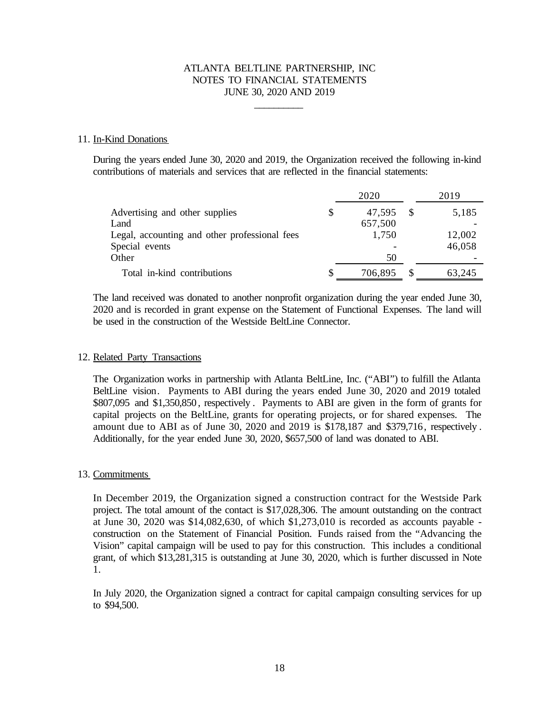\_\_\_\_\_\_\_\_\_\_

#### 11. In-Kind Donations

During the years ended June 30, 2020 and 2019, the Organization received the following in-kind contributions of materials and services that are reflected in the financial statements:

|                                               | 2020 |         |  | 2019   |  |
|-----------------------------------------------|------|---------|--|--------|--|
| Advertising and other supplies                | \$   | 47,595  |  | 5,185  |  |
| Land                                          |      | 657,500 |  |        |  |
| Legal, accounting and other professional fees |      | 1,750   |  | 12,002 |  |
| Special events                                |      |         |  | 46,058 |  |
| Other                                         |      | 50      |  |        |  |
| Total in-kind contributions                   | S    | 706,895 |  | 63,245 |  |

The land received was donated to another nonprofit organization during the year ended June 30, 2020 and is recorded in grant expense on the Statement of Functional Expenses. The land will be used in the construction of the Westside BeltLine Connector.

#### 12. Related Party Transactions

The Organization works in partnership with Atlanta BeltLine, Inc. ("ABI") to fulfill the Atlanta BeltLine vision. Payments to ABI during the years ended June 30, 2020 and 2019 totaled \$807,095 and \$1,350,850 , respectively . Payments to ABI are given in the form of grants for capital projects on the BeltLine, grants for operating projects, or for shared expenses. The amount due to ABI as of June 30, 2020 and 2019 is \$178,187 and \$379,716, respectively . Additionally, for the year ended June 30, 2020, \$657,500 of land was donated to ABI.

#### 13. Commitments

In December 2019, the Organization signed a construction contract for the Westside Park project. The total amount of the contact is \$17,028,306. The amount outstanding on the contract at June 30, 2020 was \$14,082,630, of which \$1,273,010 is recorded as accounts payable construction on the Statement of Financial Position. Funds raised from the "Advancing the Vision" capital campaign will be used to pay for this construction. This includes a conditional grant, of which \$13,281,315 is outstanding at June 30, 2020, which is further discussed in Note 1.

In July 2020, the Organization signed a contract for capital campaign consulting services for up to \$94,500.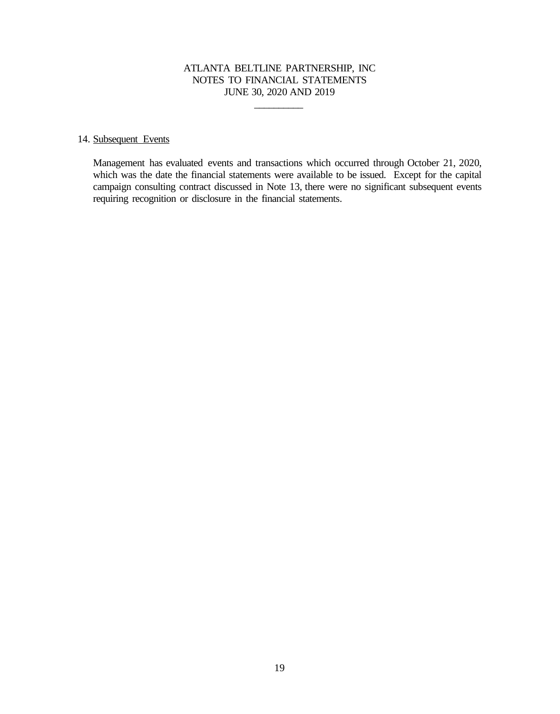\_\_\_\_\_\_\_\_\_\_

#### 14. Subsequent Events

Management has evaluated events and transactions which occurred through October 21, 2020, which was the date the financial statements were available to be issued. Except for the capital campaign consulting contract discussed in Note 13, there were no significant subsequent events requiring recognition or disclosure in the financial statements.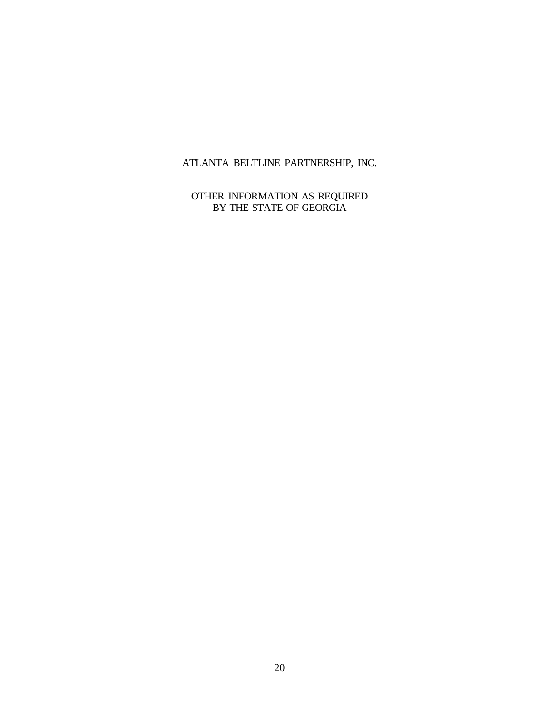ATLANTA BELTLINE PARTNERSHIP, INC.  $\overline{\phantom{a}}$ 

OTHER INFORMATION AS REQUIRED BY THE STATE OF GEORGIA